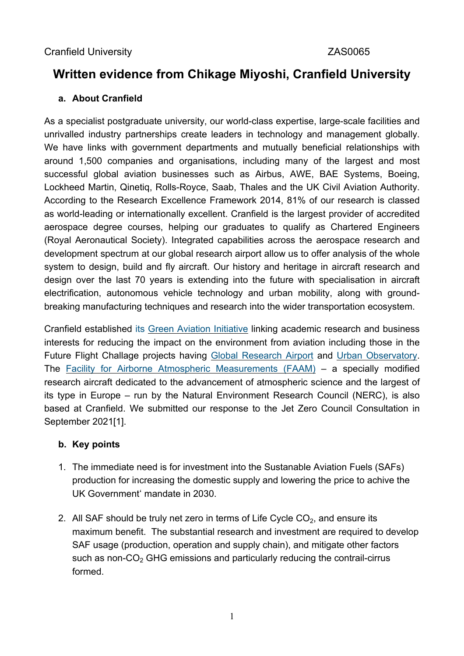# **Written evidence from Chikage Miyoshi, Cranfield University**

#### **a. About Cranfield**

As a specialist postgraduate university, our world-class expertise, large-scale facilities and unrivalled industry partnerships create leaders in technology and management globally. We have links with government departments and mutually beneficial relationships with around 1,500 companies and organisations, including many of the largest and most successful global aviation businesses such as Airbus, AWE, BAE Systems, Boeing, Lockheed Martin, Qinetiq, Rolls-Royce, Saab, Thales and the UK Civil Aviation Authority. According to the Research Excellence Framework 2014, 81% of our research is classed as world-leading or internationally excellent. Cranfield is the largest provider of accredited aerospace degree courses, helping our graduates to qualify as Chartered Engineers (Royal Aeronautical Society). Integrated capabilities across the aerospace research and development spectrum at our global research airport allow us to offer analysis of the whole system to design, build and fly aircraft. Our history and heritage in aircraft research and design over the last 70 years is extending into the future with specialisation in aircraft electrification, autonomous vehicle technology and urban mobility, along with groundbreaking manufacturing techniques and research into the wider transportation ecosystem.

Cranfield established its [Green](https://www.cranfield.ac.uk/themes/aerospace/aviation-and-the-environment) [Aviation](https://www.cranfield.ac.uk/themes/aerospace/aviation-and-the-environment) [Initiative](https://www.cranfield.ac.uk/themes/aerospace/aviation-and-the-environment) linking academic research and business interests for reducing the impact on the environment from aviation including those in the Future Flight Challage projects having [Global](https://www.cranfield.ac.uk/business/access-our-world-class-facilities/cranfields-global-research-airport) [Research](https://www.cranfield.ac.uk/business/access-our-world-class-facilities/cranfields-global-research-airport) [Airport](https://www.cranfield.ac.uk/business/access-our-world-class-facilities/cranfields-global-research-airport) and [Urban](https://www.cranfield.ac.uk/facilities/urban-observatory) [Observatory.](https://www.cranfield.ac.uk/facilities/urban-observatory) The [Facility](https://www.faam.ac.uk/) [for](https://www.faam.ac.uk/) [Airborne](https://www.faam.ac.uk/) [Atmospheric](https://www.faam.ac.uk/) [Measurements](https://www.faam.ac.uk/) [\(FAAM\)](https://www.faam.ac.uk/) – a specially modified research aircraft dedicated to the advancement of atmospheric science and the largest of its type in Europe – run by the Natural Environment Research Council (NERC), is also based at Cranfield. We submitted our response to the Jet Zero Council Consultation in September 2021[1].

#### **b. Key points**

- 1. The immediate need is for investment into the Sustanable Aviation Fuels (SAFs) production for increasing the domestic supply and lowering the price to achive the UK Government' mandate in 2030.
- 2. All SAF should be truly net zero in terms of Life Cycle  $CO<sub>2</sub>$ , and ensure its maximum benefit. The substantial research and investment are required to develop SAF usage (production, operation and supply chain), and mitigate other factors such as non- $CO<sub>2</sub>$  GHG emissions and particularly reducing the contrail-cirrus formed.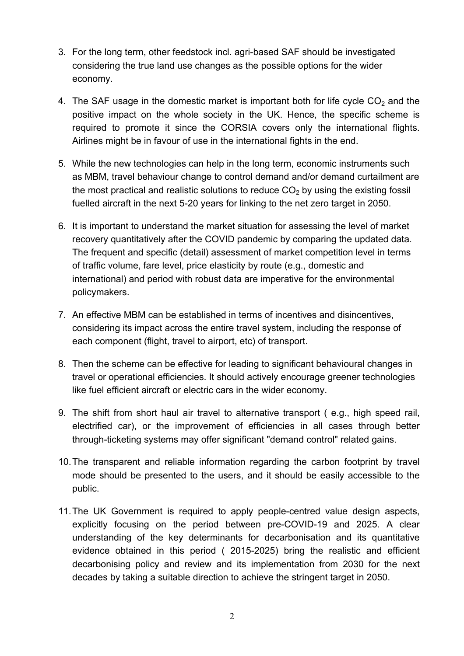- 3. For the long term, other feedstock incl. agri-based SAF should be investigated considering the true land use changes as the possible options for the wider economy.
- 4. The SAF usage in the domestic market is important both for life cycle  $CO<sub>2</sub>$  and the positive impact on the whole society in the UK. Hence, the specific scheme is required to promote it since the CORSIA covers only the international flights. Airlines might be in favour of use in the international fights in the end.
- 5. While the new technologies can help in the long term, economic instruments such as MBM, travel behaviour change to control demand and/or demand curtailment are the most practical and realistic solutions to reduce  $CO<sub>2</sub>$  by using the existing fossil fuelled aircraft in the next 5-20 years for linking to the net zero target in 2050.
- 6. It is important to understand the market situation for assessing the level of market recovery quantitatively after the COVID pandemic by comparing the updated data. The frequent and specific (detail) assessment of market competition level in terms of traffic volume, fare level, price elasticity by route (e.g., domestic and international) and period with robust data are imperative for the environmental policymakers.
- 7. An effective MBM can be established in terms of incentives and disincentives, considering its impact across the entire travel system, including the response of each component (flight, travel to airport, etc) of transport.
- 8. Then the scheme can be effective for leading to significant behavioural changes in travel or operational efficiencies. It should actively encourage greener technologies like fuel efficient aircraft or electric cars in the wider economy.
- 9. The shift from short haul air travel to alternative transport ( e.g., high speed rail, electrified car), or the improvement of efficiencies in all cases through better through-ticketing systems may offer significant "demand control" related gains.
- 10.The transparent and reliable information regarding the carbon footprint by travel mode should be presented to the users, and it should be easily accessible to the public.
- 11.The UK Government is required to apply people-centred value design aspects, explicitly focusing on the period between pre-COVID-19 and 2025. A clear understanding of the key determinants for decarbonisation and its quantitative evidence obtained in this period ( 2015-2025) bring the realistic and efficient decarbonising policy and review and its implementation from 2030 for the next decades by taking a suitable direction to achieve the stringent target in 2050.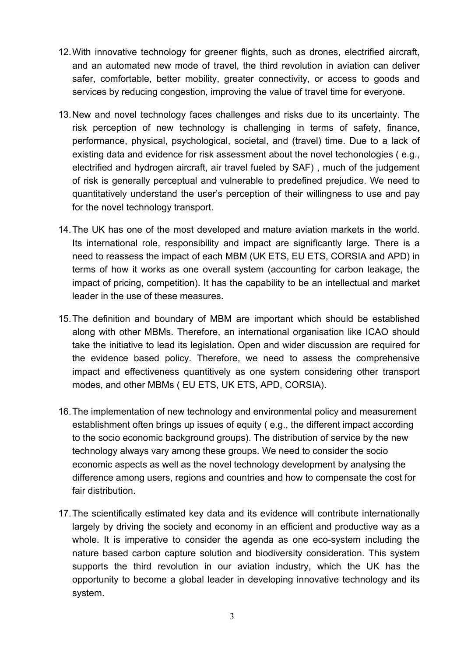- 12.With innovative technology for greener flights, such as drones, electrified aircraft, and an automated new mode of travel, the third revolution in aviation can deliver safer, comfortable, better mobility, greater connectivity, or access to goods and services by reducing congestion, improving the value of travel time for everyone.
- 13.New and novel technology faces challenges and risks due to its uncertainty. The risk perception of new technology is challenging in terms of safety, finance, performance, physical, psychological, societal, and (travel) time. Due to a lack of existing data and evidence for risk assessment about the novel techonologies ( e.g., electrified and hydrogen aircraft, air travel fueled by SAF) , much of the judgement of risk is generally perceptual and vulnerable to predefined prejudice. We need to quantitatively understand the user's perception of their willingness to use and pay for the novel technology transport.
- 14.The UK has one of the most developed and mature aviation markets in the world. Its international role, responsibility and impact are significantly large. There is a need to reassess the impact of each MBM (UK ETS, EU ETS, CORSIA and APD) in terms of how it works as one overall system (accounting for carbon leakage, the impact of pricing, competition). It has the capability to be an intellectual and market leader in the use of these measures.
- 15.The definition and boundary of MBM are important which should be established along with other MBMs. Therefore, an international organisation like ICAO should take the initiative to lead its legislation. Open and wider discussion are required for the evidence based policy. Therefore, we need to assess the comprehensive impact and effectiveness quantitively as one system considering other transport modes, and other MBMs ( EU ETS, UK ETS, APD, CORSIA).
- 16.The implementation of new technology and environmental policy and measurement establishment often brings up issues of equity ( e.g., the different impact according to the socio economic background groups). The distribution of service by the new technology always vary among these groups. We need to consider the socio economic aspects as well as the novel technology development by analysing the difference among users, regions and countries and how to compensate the cost for fair distribution
- 17.The scientifically estimated key data and its evidence will contribute internationally largely by driving the society and economy in an efficient and productive way as a whole. It is imperative to consider the agenda as one eco-system including the nature based carbon capture solution and biodiversity consideration. This system supports the third revolution in our aviation industry, which the UK has the opportunity to become a global leader in developing innovative technology and its system.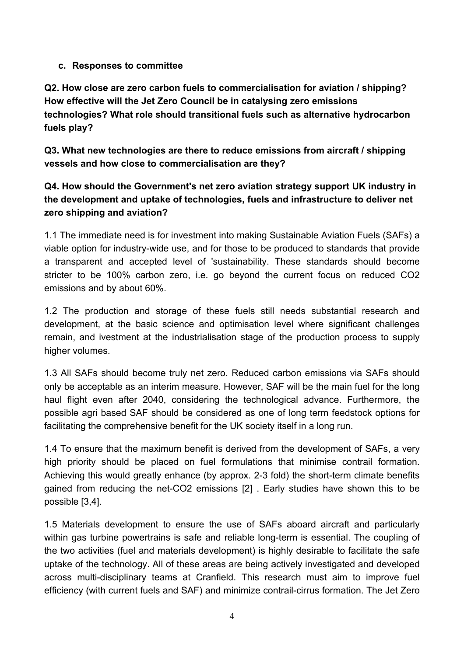#### **c. Responses to committee**

**Q2. How close are zero carbon fuels to commercialisation for aviation / shipping? How effective will the Jet Zero Council be in catalysing zero emissions technologies? What role should transitional fuels such as alternative hydrocarbon fuels play?**

**Q3. What new technologies are there to reduce emissions from aircraft / shipping vessels and how close to commercialisation are they?**

## **Q4. How should the Government's net zero aviation strategy support UK industry in the development and uptake of technologies, fuels and infrastructure to deliver net zero shipping and aviation?**

1.1 The immediate need is for investment into making Sustainable Aviation Fuels (SAFs) a viable option for industry-wide use, and for those to be produced to standards that provide a transparent and accepted level of 'sustainability. These standards should become stricter to be 100% carbon zero, i.e. go beyond the current focus on reduced CO2 emissions and by about 60%.

1.2 The production and storage of these fuels still needs substantial research and development, at the basic science and optimisation level where significant challenges remain, and ivestment at the industrialisation stage of the production process to supply higher volumes.

1.3 All SAFs should become truly net zero. Reduced carbon emissions via SAFs should only be acceptable as an interim measure. However, SAF will be the main fuel for the long haul flight even after 2040, considering the technological advance. Furthermore, the possible agri based SAF should be considered as one of long term feedstock options for facilitating the comprehensive benefit for the UK society itself in a long run.

1.4 To ensure that the maximum benefit is derived from the development of SAFs, a very high priority should be placed on fuel formulations that minimise contrail formation. Achieving this would greatly enhance (by approx. 2-3 fold) the short-term climate benefits gained from reducing the net-CO2 emissions [2] . Early studies have shown this to be possible [3,4].

1.5 Materials development to ensure the use of SAFs aboard aircraft and particularly within gas turbine powertrains is safe and reliable long-term is essential. The coupling of the two activities (fuel and materials development) is highly desirable to facilitate the safe uptake of the technology. All of these areas are being actively investigated and developed across multi-disciplinary teams at Cranfield. This research must aim to improve fuel efficiency (with current fuels and SAF) and minimize contrail-cirrus formation. The Jet Zero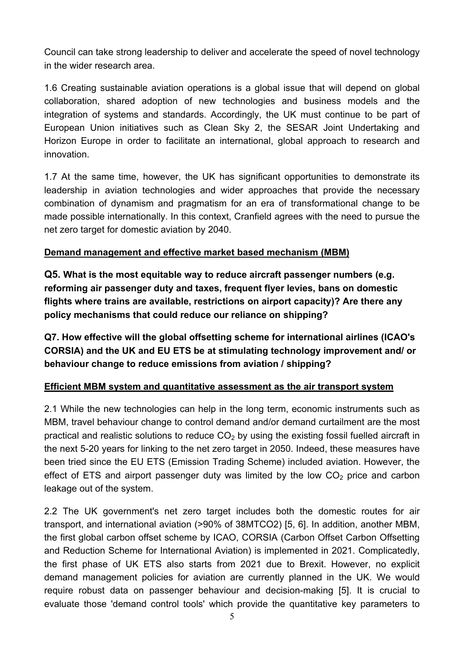Council can take strong leadership to deliver and accelerate the speed of novel technology in the wider research area.

1.6 Creating sustainable aviation operations is a global issue that will depend on global collaboration, shared adoption of new technologies and business models and the integration of systems and standards. Accordingly, the UK must continue to be part of European Union initiatives such as Clean Sky 2, the SESAR Joint Undertaking and Horizon Europe in order to facilitate an international, global approach to research and innovation.

1.7 At the same time, however, the UK has significant opportunities to demonstrate its leadership in aviation technologies and wider approaches that provide the necessary combination of dynamism and pragmatism for an era of transformational change to be made possible internationally. In this context, Cranfield agrees with the need to pursue the net zero target for domestic aviation by 2040.

#### **Demand management and effective market based mechanism (MBM)**

**Q5. What is the most equitable way to reduce aircraft passenger numbers (e.g. reforming air passenger duty and taxes, frequent flyer levies, bans on domestic flights where trains are available, restrictions on airport capacity)? Are there any policy mechanisms that could reduce our reliance on shipping?**

**Q7. How effective will the global offsetting scheme for international airlines (ICAO's CORSIA) and the UK and EU ETS be at stimulating technology improvement and/ or behaviour change to reduce emissions from aviation / shipping?**

### **Efficient MBM system and quantitative assessment as the air transport system**

2.1 While the new technologies can help in the long term, economic instruments such as MBM, travel behaviour change to control demand and/or demand curtailment are the most practical and realistic solutions to reduce  $CO<sub>2</sub>$  by using the existing fossil fuelled aircraft in the next 5-20 years for linking to the net zero target in 2050. Indeed, these measures have been tried since the EU ETS (Emission Trading Scheme) included aviation. However, the effect of ETS and airport passenger duty was limited by the low  $CO<sub>2</sub>$  price and carbon leakage out of the system.

2.2 The UK government's net zero target includes both the domestic routes for air transport, and international aviation (>90% of 38MTCO2) [5, 6]. In addition, another MBM, the first global carbon offset scheme by ICAO, CORSIA (Carbon Offset Carbon Offsetting and Reduction Scheme for International Aviation) is implemented in 2021. Complicatedly, the first phase of UK ETS also starts from 2021 due to Brexit. However, no explicit demand management policies for aviation are currently planned in the UK. We would require robust data on passenger behaviour and decision-making [5]. It is crucial to evaluate those 'demand control tools' which provide the quantitative key parameters to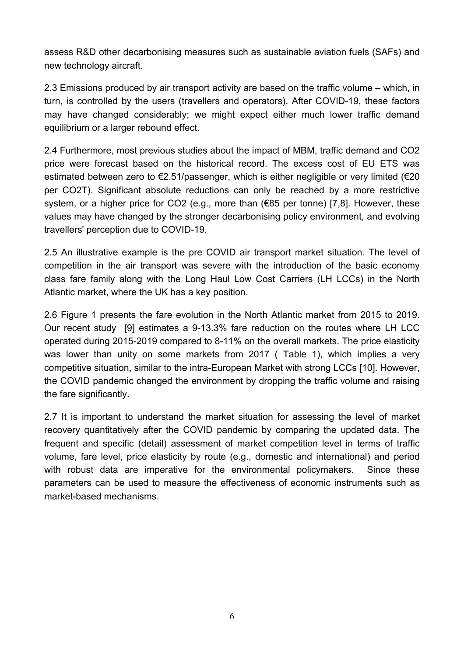assess R&D other decarbonising measures such as sustainable aviation fuels (SAFs) and new technology aircraft.

2.3 Emissions produced by air transport activity are based on the traffic volume – which, in turn, is controlled by the users (travellers and operators). After COVID-19, these factors may have changed considerably; we might expect either much lower traffic demand equilibrium or a larger rebound effect.

2.4 Furthermore, most previous studies about the impact of MBM, traffic demand and CO2 price were forecast based on the historical record. The excess cost of EU ETS was estimated between zero to €2.51/passenger, which is either negligible or very limited (€20 per CO2T). Significant absolute reductions can only be reached by a more restrictive system, or a higher price for CO2 (e.g., more than (€85 per tonne) [7,8]. However, these values may have changed by the stronger decarbonising policy environment, and evolving travellers' perception due to COVID-19.

2.5 An illustrative example is the pre COVID air transport market situation. The level of competition in the air transport was severe with the introduction of the basic economy class fare family along with the Long Haul Low Cost Carriers (LH LCCs) in the North Atlantic market, where the UK has a key position.

2.6 Figure 1 presents the fare evolution in the North Atlantic market from 2015 to 2019. Our recent study [9] estimates a 9-13.3% fare reduction on the routes where LH LCC operated during 2015-2019 compared to 8-11% on the overall markets. The price elasticity was lower than unity on some markets from 2017 ( Table 1), which implies a very competitive situation, similar to the intra-European Market with strong LCCs [10]. However, the COVID pandemic changed the environment by dropping the traffic volume and raising the fare significantly.

2.7 It is important to understand the market situation for assessing the level of market recovery quantitatively after the COVID pandemic by comparing the updated data. The frequent and specific (detail) assessment of market competition level in terms of traffic volume, fare level, price elasticity by route (e.g., domestic and international) and period with robust data are imperative for the environmental policymakers. Since these parameters can be used to measure the effectiveness of economic instruments such as market-based mechanisms.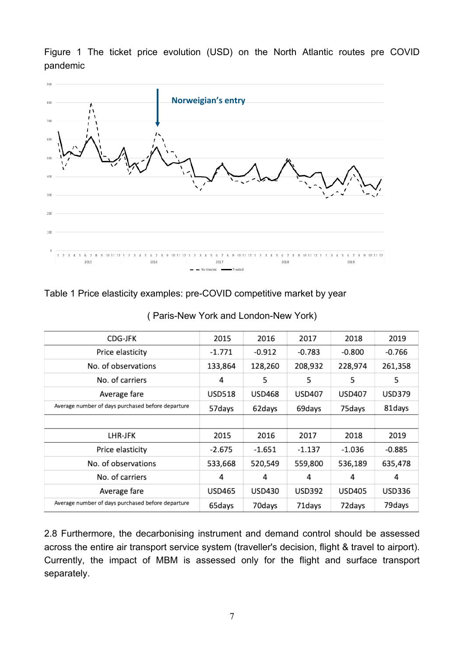Figure 1 The ticket price evolution (USD) on the North Atlantic routes pre COVID pandemic



#### Table 1 Price elasticity examples: pre-COVID competitive market by year

| CDG-JFK                                           | 2015          | 2016          | 2017          | 2018          | 2019          |
|---------------------------------------------------|---------------|---------------|---------------|---------------|---------------|
| Price elasticity                                  | $-1.771$      | $-0.912$      | $-0.783$      | $-0.800$      | -0.766        |
| No. of observations                               | 133,864       | 128,260       | 208,932       | 228,974       | 261,358       |
| No. of carriers                                   | 4             | 5             | 5             | 5             | 5             |
| Average fare                                      | <b>USD518</b> | <b>USD468</b> | <b>USD407</b> | <b>USD407</b> | <b>USD379</b> |
| Average number of days purchased before departure | 57days        | 62days        | 69days        | 75days        | 81days        |
|                                                   |               |               |               |               |               |
| LHR-JFK                                           | 2015          | 2016          | 2017          | 2018          | 2019          |
| Price elasticity                                  | $-2.675$      | $-1.651$      | $-1.137$      | $-1.036$      | $-0.885$      |
| No. of observations                               | 533,668       | 520,549       | 559,800       | 536,189       | 635,478       |
| No. of carriers                                   | 4             | 4             | 4             | 4             | 4             |
| Average fare                                      | <b>USD465</b> | <b>USD430</b> | <b>USD392</b> | <b>USD405</b> | <b>USD336</b> |
| Average number of days purchased before departure | 65days        | 70days        | 71days        | 72 days       | 79 days       |

( Paris-New York and London-New York)

2.8 Furthermore, the decarbonising instrument and demand control should be assessed across the entire air transport service system (traveller's decision, flight & travel to airport). Currently, the impact of MBM is assessed only for the flight and surface transport separately.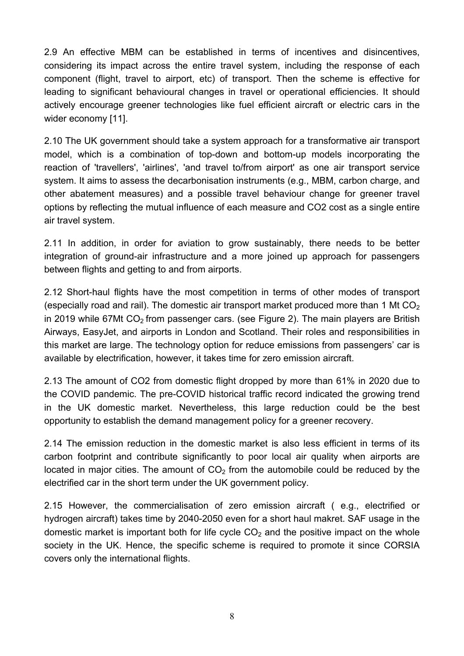2.9 An effective MBM can be established in terms of incentives and disincentives, considering its impact across the entire travel system, including the response of each component (flight, travel to airport, etc) of transport. Then the scheme is effective for leading to significant behavioural changes in travel or operational efficiencies. It should actively encourage greener technologies like fuel efficient aircraft or electric cars in the wider economy [11].

2.10 The UK government should take a system approach for a transformative air transport model, which is a combination of top-down and bottom-up models incorporating the reaction of 'travellers', 'airlines', 'and travel to/from airport' as one air transport service system. It aims to assess the decarbonisation instruments (e.g., MBM, carbon charge, and other abatement measures) and a possible travel behaviour change for greener travel options by reflecting the mutual influence of each measure and CO2 cost as a single entire air travel system.

2.11 In addition, in order for aviation to grow sustainably, there needs to be better integration of ground-air infrastructure and a more joined up approach for passengers between flights and getting to and from airports.

2.12 Short-haul flights have the most competition in terms of other modes of transport (especially road and rail). The domestic air transport market produced more than 1 Mt  $CO<sub>2</sub>$ in 2019 while 67Mt  $CO<sub>2</sub>$  from passenger cars. (see Figure 2). The main players are British Airways, EasyJet, and airports in London and Scotland. Their roles and responsibilities in this market are large. The technology option for reduce emissions from passengers' car is available by electrification, however, it takes time for zero emission aircraft.

2.13 The amount of CO2 from domestic flight dropped by more than 61% in 2020 due to the COVID pandemic. The pre-COVID historical traffic record indicated the growing trend in the UK domestic market. Nevertheless, this large reduction could be the best opportunity to establish the demand management policy for a greener recovery.

2.14 The emission reduction in the domestic market is also less efficient in terms of its carbon footprint and contribute significantly to poor local air quality when airports are located in major cities. The amount of  $CO<sub>2</sub>$  from the automobile could be reduced by the electrified car in the short term under the UK government policy.

2.15 However, the commercialisation of zero emission aircraft ( e.g., electrified or hydrogen aircraft) takes time by 2040-2050 even for a short haul makret. SAF usage in the domestic market is important both for life cycle  $CO<sub>2</sub>$  and the positive impact on the whole society in the UK. Hence, the specific scheme is required to promote it since CORSIA covers only the international flights.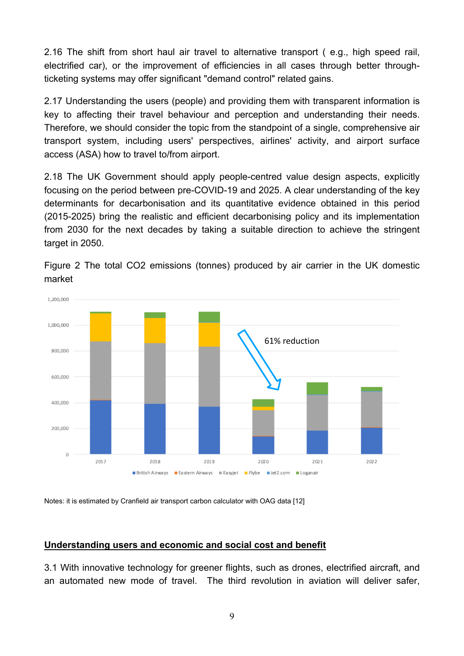2.16 The shift from short haul air travel to alternative transport ( e.g., high speed rail, electrified car), or the improvement of efficiencies in all cases through better throughticketing systems may offer significant "demand control" related gains.

2.17 Understanding the users (people) and providing them with transparent information is key to affecting their travel behaviour and perception and understanding their needs. Therefore, we should consider the topic from the standpoint of a single, comprehensive air transport system, including users' perspectives, airlines' activity, and airport surface access (ASA) how to travel to/from airport.

2.18 The UK Government should apply people-centred value design aspects, explicitly focusing on the period between pre-COVID-19 and 2025. A clear understanding of the key determinants for decarbonisation and its quantitative evidence obtained in this period (2015-2025) bring the realistic and efficient decarbonising policy and its implementation from 2030 for the next decades by taking a suitable direction to achieve the stringent target in 2050.



Figure 2 The total CO2 emissions (tonnes) produced by air carrier in the UK domestic market

Notes: it is estimated by Cranfield air transport carbon calculator with OAG data [12]

#### **Understanding users and economic and social cost and benefit**

3.1 With innovative technology for greener flights, such as drones, electrified aircraft, and an automated new mode of travel. The third revolution in aviation will deliver safer,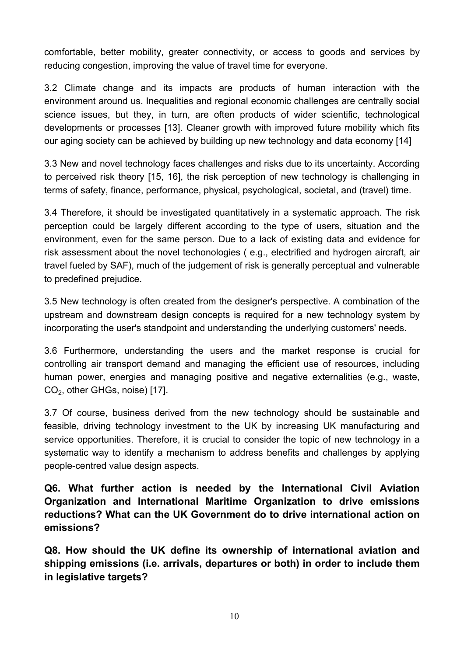comfortable, better mobility, greater connectivity, or access to goods and services by reducing congestion, improving the value of travel time for everyone.

3.2 Climate change and its impacts are products of human interaction with the environment around us. Inequalities and regional economic challenges are centrally social science issues, but they, in turn, are often products of wider scientific, technological developments or processes [13]. Cleaner growth with improved future mobility which fits our aging society can be achieved by building up new technology and data economy [14]

3.3 New and novel technology faces challenges and risks due to its uncertainty. According to perceived risk theory [15, 16], the risk perception of new technology is challenging in terms of safety, finance, performance, physical, psychological, societal, and (travel) time.

3.4 Therefore, it should be investigated quantitatively in a systematic approach. The risk perception could be largely different according to the type of users, situation and the environment, even for the same person. Due to a lack of existing data and evidence for risk assessment about the novel techonologies ( e.g., electrified and hydrogen aircraft, air travel fueled by SAF), much of the judgement of risk is generally perceptual and vulnerable to predefined prejudice.

3.5 New technology is often created from the designer's perspective. A combination of the upstream and downstream design concepts is required for a new technology system by incorporating the user's standpoint and understanding the underlying customers' needs.

3.6 Furthermore, understanding the users and the market response is crucial for controlling air transport demand and managing the efficient use of resources, including human power, energies and managing positive and negative externalities (e.g., waste, CO<sub>2</sub>, other GHGs, noise) [17].

3.7 Of course, business derived from the new technology should be sustainable and feasible, driving technology investment to the UK by increasing UK manufacturing and service opportunities. Therefore, it is crucial to consider the topic of new technology in a systematic way to identify a mechanism to address benefits and challenges by applying people-centred value design aspects.

**Q6. What further action is needed by the International Civil Aviation Organization and International Maritime Organization to drive emissions reductions? What can the UK Government do to drive international action on emissions?**

**Q8. How should the UK define its ownership of international aviation and shipping emissions (i.e. arrivals, departures or both) in order to include them in legislative targets?**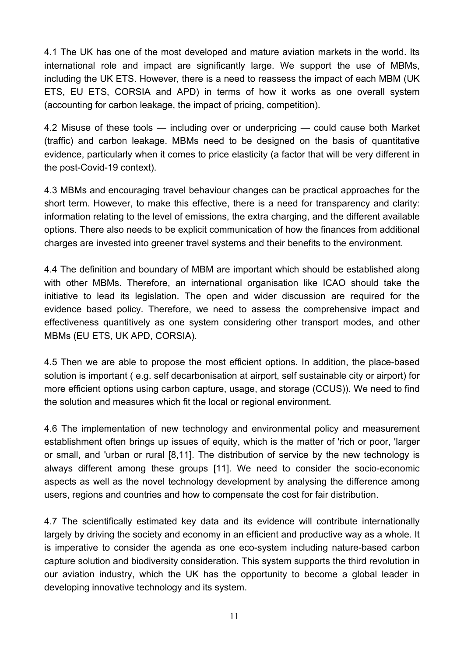4.1 The UK has one of the most developed and mature aviation markets in the world. Its international role and impact are significantly large. We support the use of MBMs, including the UK ETS. However, there is a need to reassess the impact of each MBM (UK ETS, EU ETS, CORSIA and APD) in terms of how it works as one overall system (accounting for carbon leakage, the impact of pricing, competition).

4.2 Misuse of these tools — including over or underpricing — could cause both Market (traffic) and carbon leakage. MBMs need to be designed on the basis of quantitative evidence, particularly when it comes to price elasticity (a factor that will be very different in the post-Covid-19 context).

4.3 MBMs and encouraging travel behaviour changes can be practical approaches for the short term. However, to make this effective, there is a need for transparency and clarity: information relating to the level of emissions, the extra charging, and the different available options. There also needs to be explicit communication of how the finances from additional charges are invested into greener travel systems and their benefits to the environment.

4.4 The definition and boundary of MBM are important which should be established along with other MBMs. Therefore, an international organisation like ICAO should take the initiative to lead its legislation. The open and wider discussion are required for the evidence based policy. Therefore, we need to assess the comprehensive impact and effectiveness quantitively as one system considering other transport modes, and other MBMs (EU ETS, UK APD, CORSIA).

4.5 Then we are able to propose the most efficient options. In addition, the place-based solution is important ( e.g. self decarbonisation at airport, self sustainable city or airport) for more efficient options using carbon capture, usage, and storage (CCUS)). We need to find the solution and measures which fit the local or regional environment.

4.6 The implementation of new technology and environmental policy and measurement establishment often brings up issues of equity, which is the matter of 'rich or poor, 'larger or small, and 'urban or rural [8,11]. The distribution of service by the new technology is always different among these groups [11]. We need to consider the socio-economic aspects as well as the novel technology development by analysing the difference among users, regions and countries and how to compensate the cost for fair distribution.

4.7 The scientifically estimated key data and its evidence will contribute internationally largely by driving the society and economy in an efficient and productive way as a whole. It is imperative to consider the agenda as one eco-system including nature-based carbon capture solution and biodiversity consideration. This system supports the third revolution in our aviation industry, which the UK has the opportunity to become a global leader in developing innovative technology and its system.